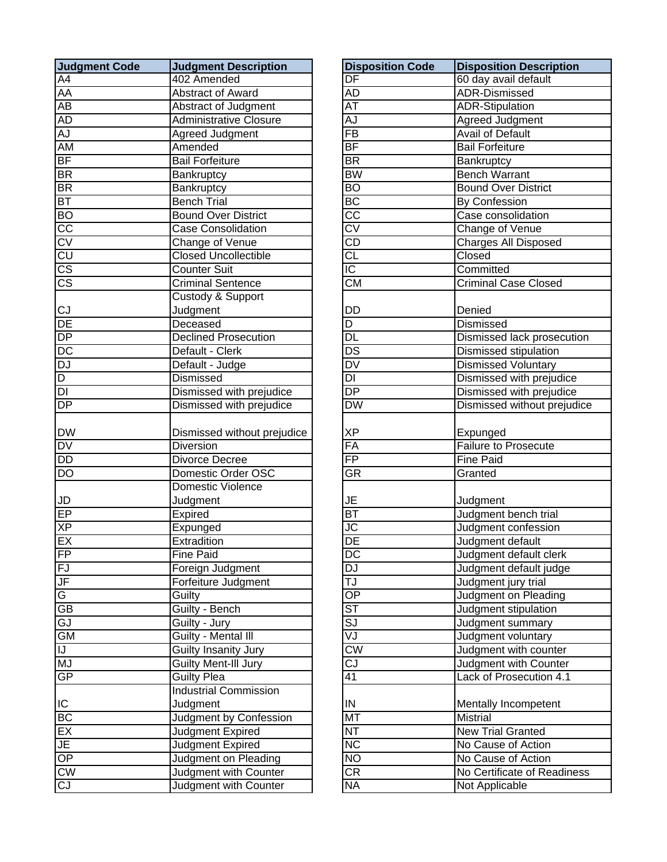| <b>Judgment Code</b>   | <b>Judgment Description</b>   | <b>Disposition Code</b>           | <b>Disposition Description</b> |
|------------------------|-------------------------------|-----------------------------------|--------------------------------|
| A4                     | 402 Amended                   | $\overline{\mathsf{DF}}$          | 60 day avail default           |
| <b>AA</b>              | <b>Abstract of Award</b>      | AD                                | <b>ADR-Dismissed</b>           |
| $\overline{AB}$        | Abstract of Judgment          | $\overline{\mathsf{AT}}$          | <b>ADR-Stipulation</b>         |
| <b>AD</b>              | <b>Administrative Closure</b> | AJ                                | Agreed Judgment                |
| AJ                     | Agreed Judgment               | $\overline{FB}$                   | <b>Avail of Default</b>        |
| <b>AM</b>              | Amended                       | BF                                | <b>Bail Forfeiture</b>         |
| <b>BF</b>              | <b>Bail Forfeiture</b>        | $\overline{\mathsf{BR}}$          | Bankruptcy                     |
| <b>BR</b>              | Bankruptcy                    | <b>BW</b>                         | <b>Bench Warrant</b>           |
| <b>BR</b>              | Bankruptcy                    | $\overline{BO}$                   | <b>Bound Over District</b>     |
| <b>BT</b>              | <b>Bench Trial</b>            | BC                                | <b>By Confession</b>           |
| <b>BO</b>              | <b>Bound Over District</b>    | $\overline{\text{cc}}$            | Case consolidation             |
| $rac{1}{2}$            | <b>Case Consolidation</b>     | $\overline{\text{CV}}$            | Change of Venue                |
|                        | Change of Venue               | $\overline{\text{CD}}$            | <b>Charges All Disposed</b>    |
|                        | <b>Closed Uncollectible</b>   | CL                                | Closed                         |
| $\overline{\text{CS}}$ | <b>Counter Suit</b>           | $\overline{C}$                    | Committed                      |
| $\overline{\text{CS}}$ | <b>Criminal Sentence</b>      | $\overline{\text{CM}}$            | <b>Criminal Case Closed</b>    |
|                        | <b>Custody &amp; Support</b>  |                                   |                                |
| CJ                     | Judgment                      | DD                                | Denied                         |
| DE                     | Deceased                      | $\overline{D}$                    | <b>Dismissed</b>               |
| DP                     | <b>Declined Prosecution</b>   | DL                                | Dismissed lack prosecution     |
| DC                     | Default - Clerk               | $\overline{\mathsf{DS}}$          | Dismissed stipulation          |
| <b>DJ</b>              | Default - Judge               | $\overline{\mathsf{D}\mathsf{V}}$ | <b>Dismissed Voluntary</b>     |
| D                      | Dismissed                     | $\overline{DI}$                   | Dismissed with prejudice       |
| ō                      | Dismissed with prejudice      | $\overline{DP}$                   | Dismissed with prejudice       |
| DP                     | Dismissed with prejudice      | DW                                | Dismissed without prejudice    |
|                        |                               |                                   |                                |
| <b>DW</b>              | Dismissed without prejudice   | ΧP                                | Expunged                       |
| DV                     | <b>Diversion</b>              | FA                                | <b>Failure to Prosecute</b>    |
| <b>DD</b>              | Divorce Decree                | $\overline{FP}$                   | <b>Fine Paid</b>               |
| DO                     | Domestic Order OSC            | GR                                | Granted                        |
|                        | <b>Domestic Violence</b>      |                                   |                                |
| JD                     | Judgment                      | JE                                | Judgment                       |
| EP                     | Expired                       | $\overline{BT}$                   | Judgment bench trial           |
| <b>XP</b>              | Expunged                      | JC                                | Judgment confession            |
| EX                     | Extradition                   | DE                                | Judgment default               |
| FP                     | <b>Fine Paid</b>              | DC                                | Judgment default clerk         |
| FJ                     | Foreign Judgment              | DJ                                | Judgment default judge         |
| JF                     | Forfeiture Judgment           | TJ                                | Judgment jury trial            |
| G                      | Guilty                        | $\overline{OP}$                   | Judgment on Pleading           |
| GB                     | Guilty - Bench                | $\overline{\text{ST}}$            | Judgment stipulation           |
| GJ                     | Guilty - Jury                 | $\overline{\mathsf{SJ}}$          | Judgment summary               |
| <b>GM</b>              | Guilty - Mental III           | VJ                                | Judgment voluntary             |
| IJ                     | <b>Guilty Insanity Jury</b>   | $\overline{\text{cw}}$            | Judgment with counter          |
| <b>MJ</b>              | Guilty Ment-Ill Jury          | СJ                                | Judgment with Counter          |
| GP                     | <b>Guilty Plea</b>            | 41                                | Lack of Prosecution 4.1        |
|                        | <b>Industrial Commission</b>  |                                   |                                |
| IC                     | Judgment                      | IN                                | Mentally Incompetent           |
| <b>BC</b>              | Judgment by Confession        | <b>MT</b>                         | <b>Mistrial</b>                |
| EX                     | Judgment Expired              | <b>NT</b>                         | New Trial Granted              |
| JE                     | Judgment Expired              | NC                                | No Cause of Action             |
| OP                     | Judgment on Pleading          | NO                                | No Cause of Action             |
| CW                     | Judgment with Counter         | $\overline{\text{CR}}$            | No Certificate of Readiness    |
| C <sub>J</sub>         | Judgment with Counter         | <b>NA</b>                         | Not Applicable                 |

| <b>Judgment Description</b>   | <b>Disposition Code</b>            | <b>Disposition Description</b>          |
|-------------------------------|------------------------------------|-----------------------------------------|
| 402 Amended                   | $\overline{\mathsf{DF}}$           | 60 day avail default                    |
| Abstract of Award             | <b>AD</b>                          | <b>ADR-Dismissed</b>                    |
| Abstract of Judgment          | ΑT                                 | <b>ADR-Stipulation</b>                  |
| <b>Administrative Closure</b> | AJ                                 | Agreed Judgment                         |
| Agreed Judgment               | $\overline{FB}$                    | <b>Avail of Default</b>                 |
| Amended                       | $\overline{BF}$                    | <b>Bail Forfeiture</b>                  |
| <b>Bail Forfeiture</b>        | $\overline{\mathsf{BR}}$           | Bankruptcy                              |
| Bankruptcy                    | <b>BW</b>                          | <b>Bench Warrant</b>                    |
| Bankruptcy                    | $\overline{BO}$                    | <b>Bound Over District</b>              |
| <b>Bench Trial</b>            | BC                                 | By Confession                           |
| <b>Bound Over District</b>    | $\overline{\text{cc}}$             | Case consolidation                      |
| Case Consolidation            | $\overline{\text{cv}}$             | Change of Venue                         |
| Change of Venue               | $\overline{CD}$                    | <b>Charges All Disposed</b>             |
| <b>Closed Uncollectible</b>   | $\overline{\text{CL}}$             | Closed                                  |
| <b>Counter Suit</b>           | $\overline{IC}$                    | Committed                               |
| <b>Criminal Sentence</b>      | $\overline{\text{CM}}$             | <b>Criminal Case Closed</b>             |
| Custody & Support             |                                    |                                         |
| Judgment                      | DD                                 | Denied                                  |
| Deceased                      | $\overline{D}$                     | Dismissed                               |
| <b>Declined Prosecution</b>   | <b>DL</b>                          | Dismissed lack prosecution              |
| Default - Clerk               | $\overline{DS}$                    | Dismissed stipulation                   |
| Default - Judge               | $\overline{\mathsf{D}\mathsf{V}}$  | <b>Dismissed Voluntary</b>              |
| <b>Dismissed</b>              | $\overline{DI}$                    | Dismissed with prejudice                |
| Dismissed with prejudice      | $\overline{\mathsf{DP}}$           | Dismissed with prejudice                |
| Dismissed with prejudice      | DW                                 | Dismissed without prejudice             |
|                               |                                    |                                         |
| Dismissed without prejudice   | <b>XP</b>                          | Expunged                                |
| <b>Diversion</b>              | FA                                 | <b>Failure to Prosecute</b>             |
| Divorce Decree                | $\overline{FP}$                    | <b>Fine Paid</b>                        |
| Domestic Order OSC            | <b>GR</b>                          | Granted                                 |
| <b>Domestic Violence</b>      |                                    |                                         |
| Judgment                      | <b>JE</b>                          | Judgment                                |
| Expired                       | BT                                 | Judgment bench trial                    |
| Expunged                      | $\overline{\overline{\mathsf{C}}}$ | Judgment confession                     |
| Extradition                   | DE                                 | Judgment default                        |
| Fine Paid                     | $\overline{\text{DC}}$             | Judgment default clerk                  |
| Foreign Judgment              | <b>DJ</b>                          | Judgment default judge                  |
| Forfeiture Judgment           | TJ                                 | Judgment jury trial                     |
| Guilty                        | $\overline{OP}$                    | Judgment on Pleading                    |
| Guilty - Bench                | <b>ST</b>                          | Judgment stipulation                    |
| Guilty - Jury                 | $\overline{\text{SJ}}$             | Judgment summary                        |
| Guilty - Mental III           | VJ                                 | Judgment voluntary                      |
| Guilty Insanity Jury          | $\overline{\text{CW}}$             | Judgment with counter                   |
| Guilty Ment-Ill Jury          | CJ                                 | Judgment with Counter                   |
| Guilty Plea                   | $\overline{41}$                    | Lack of Prosecution 4.1                 |
| <b>Industrial Commission</b>  |                                    |                                         |
| Judgment                      | $\sf IN$                           |                                         |
| Judgment by Confession        | <b>MT</b>                          | Mentally Incompetent<br><b>Mistrial</b> |
| Judgment Expired              | $\overline{\text{NT}}$             | <b>New Trial Granted</b>                |
| Judgment Expired              | $\overline{\text{NC}}$             | No Cause of Action                      |
|                               | <b>NO</b>                          |                                         |
| Judgment on Pleading          |                                    | No Cause of Action                      |
| Judgment with Counter         | $\overline{\text{CR}}$             | No Certificate of Readiness             |
| <b>Judgment with Counter</b>  | <b>NA</b>                          | Not Applicable                          |